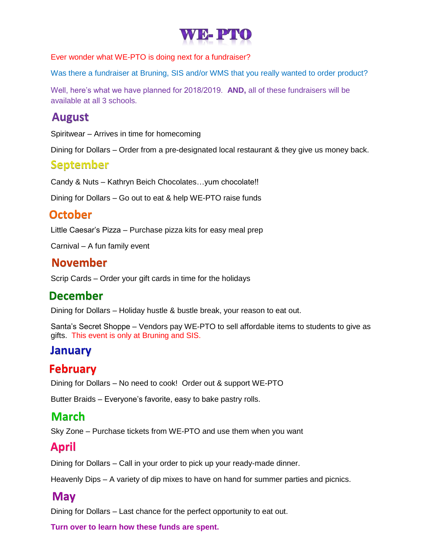

Ever wonder what WE-PTO is doing next for a fundraiser?

Was there a fundraiser at Bruning, SIS and/or WMS that you really wanted to order product?

Well, here's what we have planned for 2018/2019. **AND,** all of these fundraisers will be available at all 3 schools.

#### **August**

Spiritwear – Arrives in time for homecoming

Dining for Dollars – Order from a pre-designated local restaurant & they give us money back.

#### **September**

Candy & Nuts – Kathryn Beich Chocolates…yum chocolate!!

Dining for Dollars – Go out to eat & help WE-PTO raise funds

## **October**

Little Caesar's Pizza – Purchase pizza kits for easy meal prep

Carnival – A fun family event

#### **November**

Scrip Cards – Order your gift cards in time for the holidays

## **December**

Dining for Dollars – Holiday hustle & bustle break, your reason to eat out.

Santa's Secret Shoppe – Vendors pay WE-PTO to sell affordable items to students to give as gifts. This event is only at Bruning and SIS.

## **January**

## **February**

Dining for Dollars – No need to cook! Order out & support WE-PTO

Butter Braids – Everyone's favorite, easy to bake pastry rolls.

#### **March**

Sky Zone – Purchase tickets from WE-PTO and use them when you want

## **April**

Dining for Dollars – Call in your order to pick up your ready-made dinner.

Heavenly Dips – A variety of dip mixes to have on hand for summer parties and picnics.

#### **May**

Dining for Dollars – Last chance for the perfect opportunity to eat out.

**Turn over to learn how these funds are spent.**